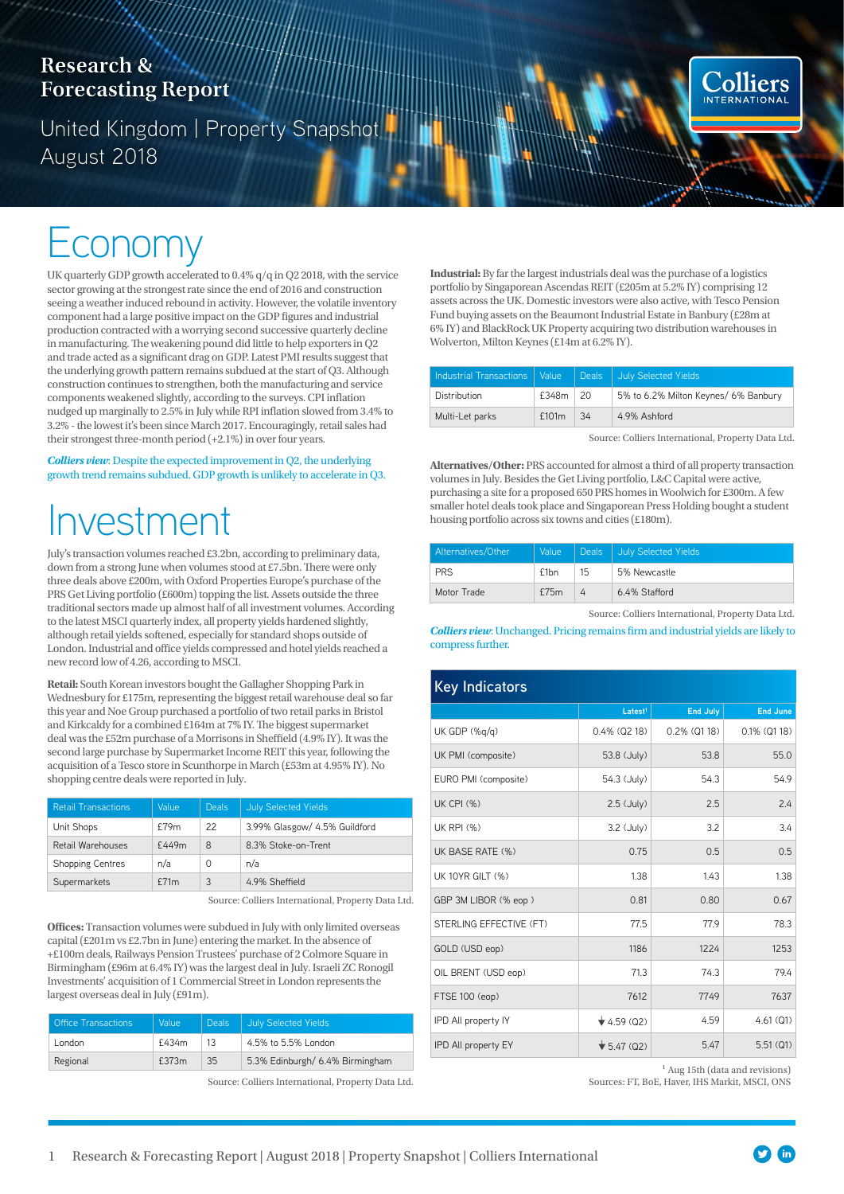## **Research & Forecasting Report**

United Kingdom | Property Snapshot August 2018

## Economy

UK quarterly GDP growth accelerated to 0.4% q/q in Q2 2018, with the service sector growing at the strongest rate since the end of 2016 and construction seeing a weather induced rebound in activity. However, the volatile inventory component had a large positive impact on the GDP figures and industrial production contracted with a worrying second successive quarterly decline in manufacturing. The weakening pound did little to help exporters in Q2 and trade acted as a significant drag on GDP. Latest PMI results suggest that the underlying growth pattern remains subdued at the start of Q3. Although construction continues to strengthen, both the manufacturing and service components weakened slightly, according to the surveys. CPI inflation nudged up marginally to 2.5% in July while RPI inflation slowed from 3.4% to 3.2% - the lowest it's been since March 2017. Encouragingly, retail sales had their strongest three-month period (+2.1%) in over four years.

*Colliers view*: Despite the expected improvement in Q2, the underlying growth trend remains subdued. GDP growth is unlikely to accelerate in Q3.

# Investment

July's transaction volumes reached £3.2bn, according to preliminary data, down from a strong June when volumes stood at £7.5bn. There were only three deals above £200m, with Oxford Properties Europe's purchase of the PRS Get Living portfolio (£600m) topping the list. Assets outside the three traditional sectors made up almost half of all investment volumes. According to the latest MSCI quarterly index, all property yields hardened slightly, although retail yields softened, especially for standard shops outside of London. Industrial and office yields compressed and hotel yields reached a new record low of 4.26, according to MSCI.

**Retail:** South Korean investors bought the Gallagher Shopping Park in Wednesbury for £175m, representing the biggest retail warehouse deal so far this year and Noe Group purchased a portfolio of two retail parks in Bristol and Kirkcaldy for a combined £164m at 7% IY. The biggest supermarket deal was the £52m purchase of a Morrisons in Sheffield (4.9% IY). It was the second large purchase by Supermarket Income REIT this year, following the acquisition of a Tesco store in Scunthorpe in March (£53m at 4.95% IY). No shopping centre deals were reported in July.

| <b>Retail Transactions</b> | Value | <b>Deals</b> | <b>July Selected Yields</b>   |
|----------------------------|-------|--------------|-------------------------------|
| Unit Shops                 | £79m  | 22           | 3.99% Glasgow/ 4.5% Guildford |
| Retail Warehouses          | £449m | 8            | 8.3% Stoke-on-Trent           |
| <b>Shopping Centres</b>    | n/a   | 0            | n/a                           |
| Supermarkets               | f71m  | 3            | 4.9% Sheffield                |

Source: Colliers International, Property Data Ltd.

**Offices:** Transaction volumes were subdued in July with only limited overseas capital (£201m vs £2.7bn in June) entering the market. In the absence of +£100m deals, Railways Pension Trustees' purchase of 2 Colmore Square in Birmingham (£96m at 6.4% IY) was the largest deal in July. Israeli ZC Ronogil Investments' acquisition of 1 Commercial Street in London represents the largest overseas deal in July (£91m).

| <b>Office Transactions</b> | Value | Deals: | July Selected Yields            |  |
|----------------------------|-------|--------|---------------------------------|--|
| London                     | £434m | 13     | 4.5% to 5.5% London             |  |
| Regional                   | £373m | 35     | 5.3% Edinburgh/ 6.4% Birmingham |  |

Source: Colliers International, Property Data Ltd.

**Industrial:** By far the largest industrials deal was the purchase of a logistics portfolio by Singaporean Ascendas REIT (£205m at 5.2% IY) comprising 12 assets across the UK. Domestic investors were also active, with Tesco Pension Fund buying assets on the Beaumont Industrial Estate in Banbury (£28m at 6% IY) and BlackRock UK Property acquiring two distribution warehouses in Wolverton, Milton Keynes (£14m at 6.2% IY).

| Industrial Transactions   Value |                   |     | Deals July Selected Yields           |
|---------------------------------|-------------------|-----|--------------------------------------|
| <b>Distribution</b>             | $£348m$ $ 20$     |     | 5% to 6.2% Milton Keynes/ 6% Banbury |
| Multi-Let parks                 | £101 <sub>m</sub> | -34 | 4.9% Ashford                         |

Source: Colliers International, Property Data Ltd.

**Colliers** INTERNATION.

**Alternatives/Other:** PRS accounted for almost a third of all property transaction volumes in July. Besides the Get Living portfolio, L&C Capital were active, purchasing a site for a proposed 650 PRS homes in Woolwich for £300m. A few smaller hotel deals took place and Singaporean Press Holding bought a student housing portfolio across six towns and cities (£180m).

| Alternatives/Other | Value            |          | Deals July Selected Yields |
|--------------------|------------------|----------|----------------------------|
| <b>PRS</b>         | f1 <sub>bn</sub> | 15       | 5% Newcastle               |
| Motor Trade        | f75m             | $\Delta$ | 6.4% Stafford              |

Source: Colliers International, Property Data Ltd.

*Colliers view*: Unchanged. Pricing remains firm and industrial yields are likely to compress further.

| <b>Key Indicators</b>   |                                |                    |                    |  |  |  |
|-------------------------|--------------------------------|--------------------|--------------------|--|--|--|
|                         | Latest <sup>1</sup>            | <b>End July</b>    | <b>End June</b>    |  |  |  |
| UK GDP (%g/g)           | $0.4\%$ (Q2 18)                | $0.2\%$ ( $Q1$ 18) | $0.1\%$ ( $Q1$ 18) |  |  |  |
| UK PMI (composite)      | 53.8 (July)                    | 53.8               | 55.0               |  |  |  |
| EURO PMI (composite)    | 54.3 (July)                    | 54.3               | 54.9               |  |  |  |
| <b>UK CPI (%)</b>       | $2.5$ (July)                   | 2.5                | 2.4                |  |  |  |
| UK RPI (%)              | 3.2 (July)                     | 3.2                | 3.4                |  |  |  |
| UK BASE RATE (%)        | 0.75                           | 0.5                | 0.5                |  |  |  |
| <b>UK 10YR GILT (%)</b> | 1.38                           | 1.43               | 1.38               |  |  |  |
| GBP 3M LIBOR (% eop)    | 0.81                           | 0.80               | 0.67               |  |  |  |
| STERLING EFFECTIVE (FT) | 77.5                           | 77.9               | 78.3               |  |  |  |
| GOLD (USD eop)          | 1186                           | 1224               | 1253               |  |  |  |
| OIL BRENT (USD eop)     | 71.3                           | 74.3               | 79.4               |  |  |  |
| FTSE 100 (eop)          | 7612                           | 7749               | 7637               |  |  |  |
| IPD All property IY     | $\star$ 4.59 (Q2)              | 4.59               | 4.61(Q1)           |  |  |  |
| IPD All property EY     | $\blacktriangledown$ 5.47 (Q2) | 5.47               | 5.51(Q1)           |  |  |  |

<sup>1</sup> Aug 15th (data and revisions)

Sources: FT, BoE, Haver, IHS Markit, MSCI, ONS